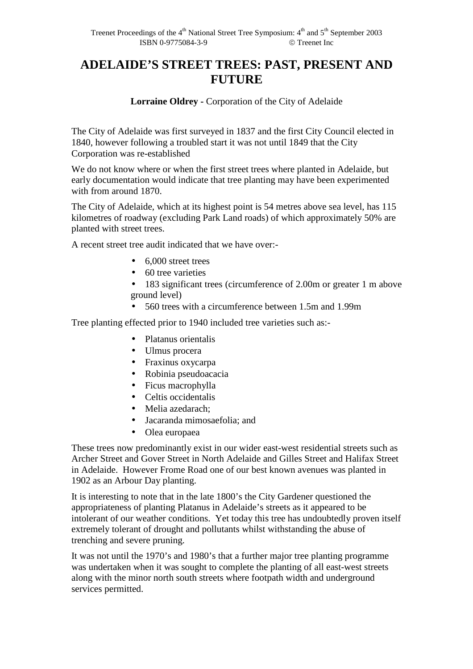## **ADELAIDE'S STREET TREES: PAST, PRESENT AND FUTURE**

**Lorraine Oldrey -** Corporation of the City of Adelaide

The City of Adelaide was first surveyed in 1837 and the first City Council elected in 1840, however following a troubled start it was not until 1849 that the City Corporation was re-established

We do not know where or when the first street trees where planted in Adelaide, but early documentation would indicate that tree planting may have been experimented with from around 1870.

The City of Adelaide, which at its highest point is 54 metres above sea level, has 115 kilometres of roadway (excluding Park Land roads) of which approximately 50% are planted with street trees.

A recent street tree audit indicated that we have over:-

- 6,000 street trees
- 60 tree varieties
- 183 significant trees (circumference of 2.00m or greater 1 m above ground level)
- 560 trees with a circumference between 1.5m and 1.99m

Tree planting effected prior to 1940 included tree varieties such as:-

- Platanus orientalis
- Ulmus procera
- Fraxinus oxycarpa
- Robinia pseudoacacia
- Ficus macrophylla
- Celtis occidentalis
- Melia azedarach;
- Jacaranda mimosaefolia; and
- Olea europaea

These trees now predominantly exist in our wider east-west residential streets such as Archer Street and Gover Street in North Adelaide and Gilles Street and Halifax Street in Adelaide. However Frome Road one of our best known avenues was planted in 1902 as an Arbour Day planting.

It is interesting to note that in the late 1800's the City Gardener questioned the appropriateness of planting Platanus in Adelaide's streets as it appeared to be intolerant of our weather conditions. Yet today this tree has undoubtedly proven itself extremely tolerant of drought and pollutants whilst withstanding the abuse of trenching and severe pruning.

It was not until the 1970's and 1980's that a further major tree planting programme was undertaken when it was sought to complete the planting of all east-west streets along with the minor north south streets where footpath width and underground services permitted.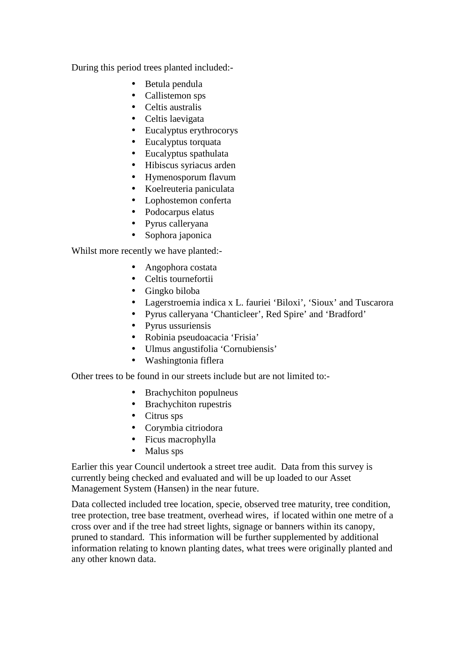During this period trees planted included:-

- Betula pendula
- Callistemon sps
- Celtis australis
- Celtis laevigata
- Eucalyptus erythrocorys
- Eucalyptus torquata
- Eucalyptus spathulata
- Hibiscus syriacus arden
- Hymenosporum flavum
- Koelreuteria paniculata
- Lophostemon conferta
- Podocarpus elatus
- Pyrus calleryana
- Sophora japonica

Whilst more recently we have planted:-

- Angophora costata
- Celtis tournefortii
- Gingko biloba
- Lagerstroemia indica x L. fauriei 'Biloxi', 'Sioux' and Tuscarora
- Pyrus calleryana 'Chanticleer', Red Spire' and 'Bradford'
- Pyrus ussuriensis
- Robinia pseudoacacia 'Frisia'
- Ulmus angustifolia 'Cornubiensis'
- Washingtonia fiflera

Other trees to be found in our streets include but are not limited to:-

- Brachychiton populneus
- Brachychiton rupestris
- Citrus sps
- Corymbia citriodora
- Ficus macrophylla
- Malus sps

Earlier this year Council undertook a street tree audit. Data from this survey is currently being checked and evaluated and will be up loaded to our Asset Management System (Hansen) in the near future.

Data collected included tree location, specie, observed tree maturity, tree condition, tree protection, tree base treatment, overhead wires, if located within one metre of a cross over and if the tree had street lights, signage or banners within its canopy, pruned to standard. This information will be further supplemented by additional information relating to known planting dates, what trees were originally planted and any other known data.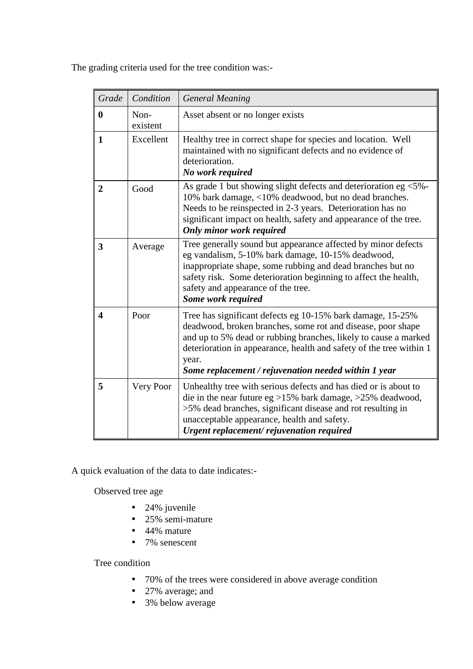| Grade          | Condition        | <b>General Meaning</b>                                                                                                                                                                                                                                                                                                               |
|----------------|------------------|--------------------------------------------------------------------------------------------------------------------------------------------------------------------------------------------------------------------------------------------------------------------------------------------------------------------------------------|
| $\bf{0}$       | Non-<br>existent | Asset absent or no longer exists                                                                                                                                                                                                                                                                                                     |
| 1              | Excellent        | Healthy tree in correct shape for species and location. Well<br>maintained with no significant defects and no evidence of<br>deterioration.<br>No work required                                                                                                                                                                      |
| $\overline{2}$ | Good             | As grade 1 but showing slight defects and deterioration eg <5%-<br>10% bark damage, <10% deadwood, but no dead branches.<br>Needs to be reinspected in 2-3 years. Deterioration has no<br>significant impact on health, safety and appearance of the tree.<br>Only minor work required                                               |
| 3              | Average          | Tree generally sound but appearance affected by minor defects<br>eg vandalism, 5-10% bark damage, 10-15% deadwood,<br>inappropriate shape, some rubbing and dead branches but no<br>safety risk. Some deterioration beginning to affect the health,<br>safety and appearance of the tree.<br>Some work required                      |
| 4              | Poor             | Tree has significant defects eg 10-15% bark damage, 15-25%<br>deadwood, broken branches, some rot and disease, poor shape<br>and up to 5% dead or rubbing branches, likely to cause a marked<br>deterioration in appearance, health and safety of the tree within 1<br>year.<br>Some replacement / rejuvenation needed within 1 year |
| 5              | Very Poor        | Unhealthy tree with serious defects and has died or is about to<br>die in the near future eg >15% bark damage, >25% deadwood,<br>>5% dead branches, significant disease and rot resulting in<br>unacceptable appearance, health and safety.<br>Urgent replacement/rejuvenation required                                              |

The grading criteria used for the tree condition was:-

A quick evaluation of the data to date indicates:-

Observed tree age

- 24% juvenile
- 25% semi-mature
- 44% mature
- 7% senescent

## Tree condition

- 70% of the trees were considered in above average condition
- 27% average; and
- 3% below average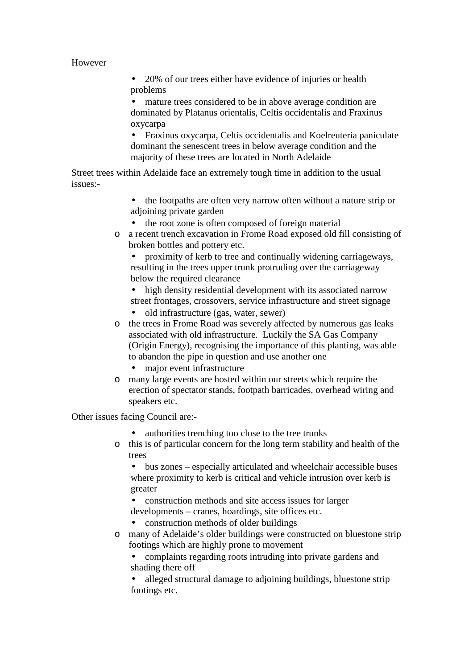## However

• 20% of our trees either have evidence of injuries or health problems

• mature trees considered to be in above average condition are dominated by Platanus orientalis, Celtis occidentalis and Fraxinus oxycarpa

• Fraxinus oxycarpa, Celtis occidentalis and Koelreuteria paniculate dominant the senescent trees in below average condition and the majority of these trees are located in North Adelaide

Street trees within Adelaide face an extremely tough time in addition to the usual issues:-

- the footpaths are often very narrow often without a nature strip or adjoining private garden
- the root zone is often composed of foreign material
- o a recent trench excavation in Frome Road exposed old fill consisting of broken bottles and pottery etc.

• proximity of kerb to tree and continually widening carriageways, resulting in the trees upper trunk protruding over the carriageway below the required clearance

• high density residential development with its associated narrow street frontages, crossovers, service infrastructure and street signage

- old infrastructure (gas, water, sewer)
- o the trees in Frome Road was severely affected by numerous gas leaks associated with old infrastructure. Luckily the SA Gas Company (Origin Energy), recognising the importance of this planting, was able to abandon the pipe in question and use another one
	- major event infrastructure
- o many large events are hosted within our streets which require the erection of spectator stands, footpath barricades, overhead wiring and speakers etc.

Other issues facing Council are:-

- authorities trenching too close to the tree trunks
- o this is of particular concern for the long term stability and health of the trees

• bus zones – especially articulated and wheelchair accessible buses where proximity to kerb is critical and vehicle intrusion over kerb is greater

• construction methods and site access issues for larger developments – cranes, hoardings, site offices etc.

• construction methods of older buildings

o many of Adelaide's older buildings were constructed on bluestone strip footings which are highly prone to movement

• complaints regarding roots intruding into private gardens and shading there off

• alleged structural damage to adjoining buildings, bluestone strip footings etc.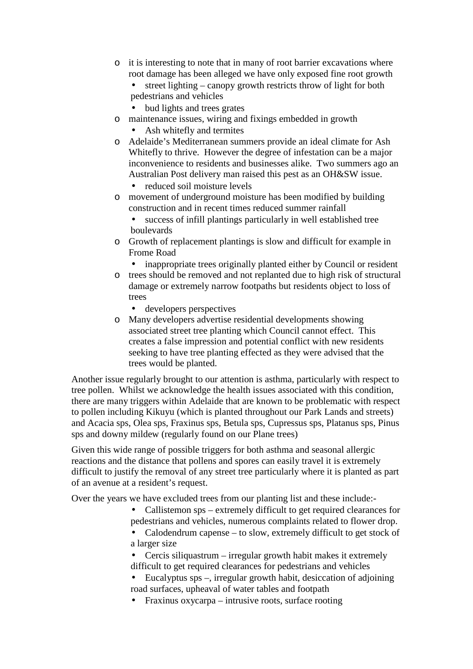- o it is interesting to note that in many of root barrier excavations where root damage has been alleged we have only exposed fine root growth
	- street lighting canopy growth restricts throw of light for both pedestrians and vehicles
	- bud lights and trees grates
- o maintenance issues, wiring and fixings embedded in growth
	- Ash whitefly and termites
- o Adelaide's Mediterranean summers provide an ideal climate for Ash Whitefly to thrive. However the degree of infestation can be a major inconvenience to residents and businesses alike. Two summers ago an Australian Post delivery man raised this pest as an OH&SW issue.
	- reduced soil moisture levels
- o movement of underground moisture has been modified by building construction and in recent times reduced summer rainfall
	- success of infill plantings particularly in well established tree boulevards
- o Growth of replacement plantings is slow and difficult for example in Frome Road
	- inappropriate trees originally planted either by Council or resident
- o trees should be removed and not replanted due to high risk of structural damage or extremely narrow footpaths but residents object to loss of trees
	- developers perspectives
- o Many developers advertise residential developments showing associated street tree planting which Council cannot effect. This creates a false impression and potential conflict with new residents seeking to have tree planting effected as they were advised that the trees would be planted.

Another issue regularly brought to our attention is asthma, particularly with respect to tree pollen. Whilst we acknowledge the health issues associated with this condition, there are many triggers within Adelaide that are known to be problematic with respect to pollen including Kikuyu (which is planted throughout our Park Lands and streets) and Acacia sps, Olea sps, Fraxinus sps, Betula sps, Cupressus sps, Platanus sps, Pinus sps and downy mildew (regularly found on our Plane trees)

Given this wide range of possible triggers for both asthma and seasonal allergic reactions and the distance that pollens and spores can easily travel it is extremely difficult to justify the removal of any street tree particularly where it is planted as part of an avenue at a resident's request.

Over the years we have excluded trees from our planting list and these include:-

- Callistemon sps extremely difficult to get required clearances for pedestrians and vehicles, numerous complaints related to flower drop.
- Calodendrum capense to slow, extremely difficult to get stock of a larger size
- Cercis siliquastrum irregular growth habit makes it extremely difficult to get required clearances for pedestrians and vehicles
- Eucalyptus sps –, irregular growth habit, desiccation of adjoining road surfaces, upheaval of water tables and footpath
- Fraxinus oxycarpa intrusive roots, surface rooting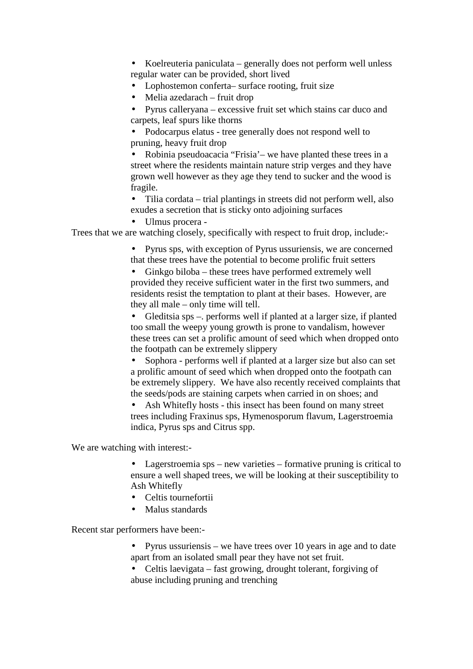• Koelreuteria paniculata – generally does not perform well unless regular water can be provided, short lived

- Lophostemon conferta– surface rooting, fruit size
- Melia azedarach fruit drop

• Pyrus calleryana – excessive fruit set which stains car duco and carpets, leaf spurs like thorns

• Podocarpus elatus - tree generally does not respond well to pruning, heavy fruit drop

• Robinia pseudoacacia "Frisia'– we have planted these trees in a street where the residents maintain nature strip verges and they have grown well however as they age they tend to sucker and the wood is fragile.

• Tilia cordata – trial plantings in streets did not perform well, also exudes a secretion that is sticky onto adjoining surfaces

• Ulmus procera -

Trees that we are watching closely, specifically with respect to fruit drop, include:-

• Pyrus sps, with exception of Pyrus ussuriensis, we are concerned that these trees have the potential to become prolific fruit setters

• Ginkgo biloba – these trees have performed extremely well provided they receive sufficient water in the first two summers, and residents resist the temptation to plant at their bases. However, are they all male – only time will tell.

• Gleditsia sps –. performs well if planted at a larger size, if planted too small the weepy young growth is prone to vandalism, however these trees can set a prolific amount of seed which when dropped onto the footpath can be extremely slippery

• Sophora - performs well if planted at a larger size but also can set a prolific amount of seed which when dropped onto the footpath can be extremely slippery. We have also recently received complaints that the seeds/pods are staining carpets when carried in on shoes; and

Ash Whitefly hosts - this insect has been found on many street trees including Fraxinus sps, Hymenosporum flavum, Lagerstroemia indica, Pyrus sps and Citrus spp.

We are watching with interest:-

• Lagerstroemia sps – new varieties – formative pruning is critical to ensure a well shaped trees, we will be looking at their susceptibility to Ash Whitefly

- Celtis tournefortii
- Malus standards

Recent star performers have been:-

- Pyrus ussuriensis we have trees over 10 years in age and to date apart from an isolated small pear they have not set fruit.
- Celtis laevigata fast growing, drought tolerant, forgiving of abuse including pruning and trenching